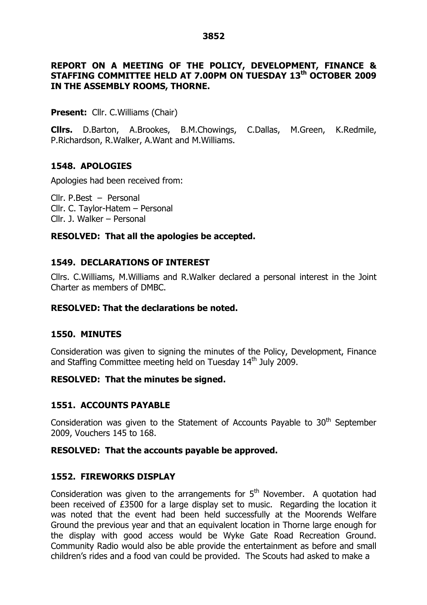# **REPORT ON A MEETING OF THE POLICY, DEVELOPMENT, FINANCE & STAFFING COMMITTEE HELD AT 7.00PM ON TUESDAY 13 th OCTOBER 2009 IN THE ASSEMBLY ROOMS, THORNE.**

### **Present:** Cllr. C. Williams (Chair)

**Cllrs.** D.Barton, A.Brookes, B.M.Chowings, C.Dallas, M.Green, K.Redmile, P.Richardson, R.Walker, A.Want and M.Williams.

## **1548. APOLOGIES**

Apologies had been received from:

Cllr. P.Best – Personal Cllr. C. Taylor-Hatem - Personal Cllr. J. Walker – Personal

## **RESOLVED: That all the apologies be accepted.**

## **1549. DECLARATIONS OF INTEREST**

Cllrs. C.Williams, M.Williams and R.Walker declared a personal interest in the Joint Charter as members of DMBC.

## **RESOLVED: That the declarations be noted.**

### **1550. MINUTES**

Consideration was given to signing the minutes of the Policy, Development, Finance and Staffing Committee meeting held on Tuesday 14<sup>th</sup> July 2009.

### **RESOLVED: That the minutes be signed.**

# **1551. ACCOUNTS PAYABLE**

Consideration was given to the Statement of Accounts Payable to  $30<sup>th</sup>$  September 2009, Vouchers 145 to 168.

### **RESOLVED: That the accounts payable be approved.**

# **1552. FIREWORKS DISPLAY**

Consideration was given to the arrangements for  $5<sup>th</sup>$  November. A quotation had been received of £3500 for a large display set to music. Regarding the location it was noted that the event had been held successfully at the Moorends Welfare Ground the previous year and that an equivalent location in Thorne large enough for the display with good access would be Wyke Gate Road Recreation Ground. Community Radio would also be able provide the entertainment as before and small children's rides and a food van could be provided. The Scouts had asked to make a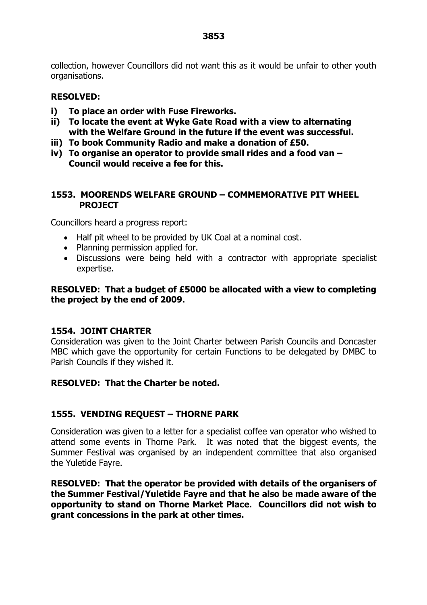collection, however Councillors did not want this as it would be unfair to other youth organisations.

# **RESOLVED:**

- **i) To place an order with Fuse Fireworks.**
- **ii) To locate the event at Wyke Gate Road with a view to alternating with the Welfare Ground in the future if the event was successful.**
- **iii) To book Community Radio and make a donation of £50.**
- **iv) To organise an operator to provide small rides and a food van – Council would receive a fee for this.**

### **1553. MOORENDS WELFARE GROUND –COMMEMORATIVE PIT WHEEL PROJECT**

Councillors heard a progress report:

- Half pit wheel to be provided by UK Coal at a nominal cost.
- Planning permission applied for.
- Discussions were being held with a contractor with appropriate specialist expertise.

# **RESOLVED: That a budget of £5000 be allocated with a view to completing the project by the end of 2009.**

### **1554. JOINT CHARTER**

Consideration was given to the Joint Charter between Parish Councils and Doncaster MBC which gave the opportunity for certain Functions to be delegated by DMBC to Parish Councils if they wished it.

### **RESOLVED: That the Charter be noted.**

### **1555. VENDING REQUEST –THORNE PARK**

Consideration was given to a letter for a specialist coffee van operator who wished to attend some events in Thorne Park. It was noted that the biggest events, the Summer Festival was organised by an independent committee that also organised the Yuletide Fayre.

**RESOLVED: That the operator be provided with details of the organisers of the Summer Festival/Yuletide Fayre and that he also be made aware of the opportunity to stand on Thorne Market Place. Councillors did not wish to grant concessions in the park at other times.**